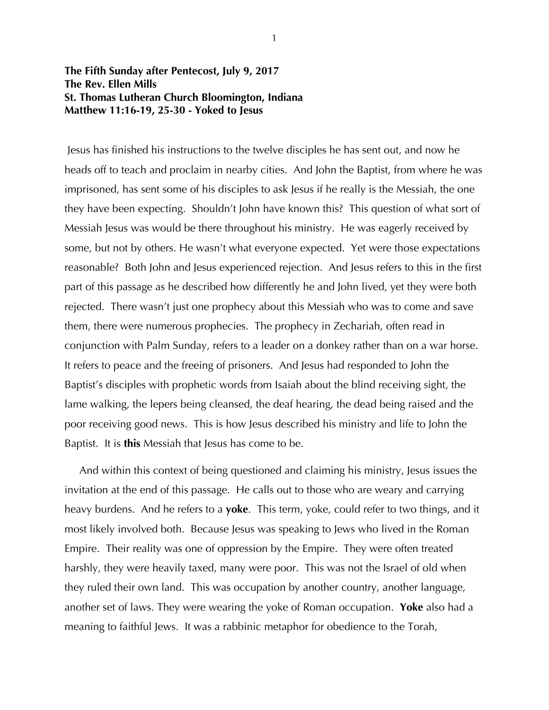## **The Fifth Sunday after Pentecost, July 9, 2017 The Rev. Ellen Mills St. Thomas Lutheran Church Bloomington, Indiana Matthew 11:16-19, 25-30 - Yoked to Jesus**

 Jesus has finished his instructions to the twelve disciples he has sent out, and now he heads off to teach and proclaim in nearby cities. And John the Baptist, from where he was imprisoned, has sent some of his disciples to ask Jesus if he really is the Messiah, the one they have been expecting. Shouldn't John have known this? This question of what sort of Messiah Jesus was would be there throughout his ministry. He was eagerly received by some, but not by others. He wasn't what everyone expected. Yet were those expectations reasonable? Both John and Jesus experienced rejection. And Jesus refers to this in the first part of this passage as he described how differently he and John lived, yet they were both rejected. There wasn't just one prophecy about this Messiah who was to come and save them, there were numerous prophecies. The prophecy in Zechariah, often read in conjunction with Palm Sunday, refers to a leader on a donkey rather than on a war horse. It refers to peace and the freeing of prisoners. And Jesus had responded to John the Baptist's disciples with prophetic words from Isaiah about the blind receiving sight, the lame walking, the lepers being cleansed, the deaf hearing, the dead being raised and the poor receiving good news. This is how Jesus described his ministry and life to John the Baptist. It is **this** Messiah that Jesus has come to be.

 And within this context of being questioned and claiming his ministry, Jesus issues the invitation at the end of this passage. He calls out to those who are weary and carrying heavy burdens. And he refers to a **yoke**. This term, yoke, could refer to two things, and it most likely involved both. Because Jesus was speaking to Jews who lived in the Roman Empire. Their reality was one of oppression by the Empire. They were often treated harshly, they were heavily taxed, many were poor. This was not the Israel of old when they ruled their own land. This was occupation by another country, another language, another set of laws. They were wearing the yoke of Roman occupation. **Yoke** also had a meaning to faithful Jews. It was a rabbinic metaphor for obedience to the Torah,

1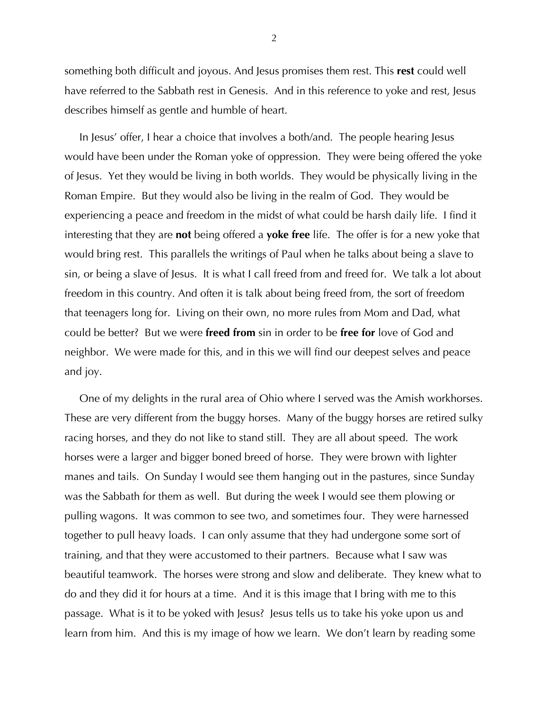something both difficult and joyous. And Jesus promises them rest. This **rest** could well have referred to the Sabbath rest in Genesis. And in this reference to yoke and rest, Jesus describes himself as gentle and humble of heart.

 In Jesus' offer, I hear a choice that involves a both/and. The people hearing Jesus would have been under the Roman yoke of oppression. They were being offered the yoke of Jesus. Yet they would be living in both worlds. They would be physically living in the Roman Empire. But they would also be living in the realm of God. They would be experiencing a peace and freedom in the midst of what could be harsh daily life. I find it interesting that they are **not** being offered a **yoke free** life. The offer is for a new yoke that would bring rest. This parallels the writings of Paul when he talks about being a slave to sin, or being a slave of Jesus. It is what I call freed from and freed for. We talk a lot about freedom in this country. And often it is talk about being freed from, the sort of freedom that teenagers long for. Living on their own, no more rules from Mom and Dad, what could be better? But we were **freed from** sin in order to be **free for** love of God and neighbor. We were made for this, and in this we will find our deepest selves and peace and joy.

 One of my delights in the rural area of Ohio where I served was the Amish workhorses. These are very different from the buggy horses. Many of the buggy horses are retired sulky racing horses, and they do not like to stand still. They are all about speed. The work horses were a larger and bigger boned breed of horse. They were brown with lighter manes and tails. On Sunday I would see them hanging out in the pastures, since Sunday was the Sabbath for them as well. But during the week I would see them plowing or pulling wagons. It was common to see two, and sometimes four. They were harnessed together to pull heavy loads. I can only assume that they had undergone some sort of training, and that they were accustomed to their partners. Because what I saw was beautiful teamwork. The horses were strong and slow and deliberate. They knew what to do and they did it for hours at a time. And it is this image that I bring with me to this passage. What is it to be yoked with Jesus? Jesus tells us to take his yoke upon us and learn from him. And this is my image of how we learn. We don't learn by reading some

2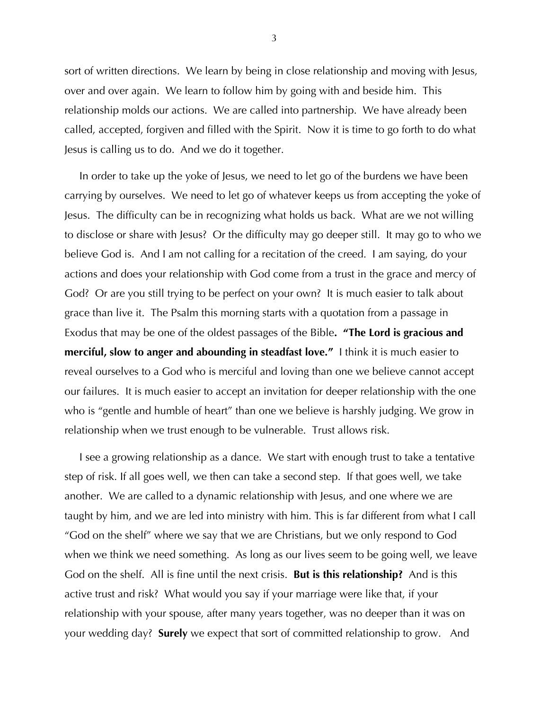sort of written directions. We learn by being in close relationship and moving with Jesus, over and over again. We learn to follow him by going with and beside him. This relationship molds our actions. We are called into partnership. We have already been called, accepted, forgiven and filled with the Spirit. Now it is time to go forth to do what Jesus is calling us to do. And we do it together.

 In order to take up the yoke of Jesus, we need to let go of the burdens we have been carrying by ourselves. We need to let go of whatever keeps us from accepting the yoke of Jesus. The difficulty can be in recognizing what holds us back. What are we not willing to disclose or share with Jesus? Or the difficulty may go deeper still. It may go to who we believe God is. And I am not calling for a recitation of the creed. I am saying, do your actions and does your relationship with God come from a trust in the grace and mercy of God? Or are you still trying to be perfect on your own? It is much easier to talk about grace than live it. The Psalm this morning starts with a quotation from a passage in Exodus that may be one of the oldest passages of the Bible**. "The Lord is gracious and merciful, slow to anger and abounding in steadfast love."** I think it is much easier to reveal ourselves to a God who is merciful and loving than one we believe cannot accept our failures. It is much easier to accept an invitation for deeper relationship with the one who is "gentle and humble of heart" than one we believe is harshly judging. We grow in relationship when we trust enough to be vulnerable. Trust allows risk.

 I see a growing relationship as a dance. We start with enough trust to take a tentative step of risk. If all goes well, we then can take a second step. If that goes well, we take another. We are called to a dynamic relationship with Jesus, and one where we are taught by him, and we are led into ministry with him. This is far different from what I call "God on the shelf" where we say that we are Christians, but we only respond to God when we think we need something. As long as our lives seem to be going well, we leave God on the shelf. All is fine until the next crisis. **But is this relationship?** And is this active trust and risk? What would you say if your marriage were like that, if your relationship with your spouse, after many years together, was no deeper than it was on your wedding day? **Surely** we expect that sort of committed relationship to grow. And

3